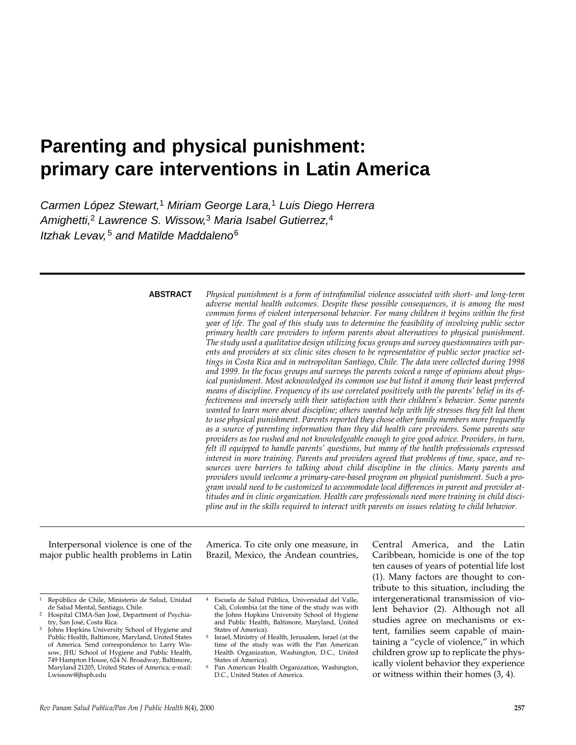# **Parenting and physical punishment: primary care interventions in Latin America**

Carmen López Stewart,<sup>1</sup> Miriam George Lara,<sup>1</sup> Luis Diego Herrera Amighetti,<sup>2</sup> Lawrence S. Wissow,<sup>3</sup> Maria Isabel Gutierrez,<sup>4</sup> Itzhak Levav,<sup>5</sup> and Matilde Maddaleno<sup>6</sup>

#### **ABSTRACT**

*Physical punishment is a form of intrafamilial violence associated with short- and long-term adverse mental health outcomes. Despite these possible consequences, it is among the most common forms of violent interpersonal behavior. For many children it begins within the first year of life. The goal of this study was to determine the feasibility of involving public sector primary health care providers to inform parents about alternatives to physical punishment. The study used a qualitative design utilizing focus groups and survey questionnaires with parents and providers at six clinic sites chosen to be representative of public sector practice settings in Costa Rica and in metropolitan Santiago, Chile. The data were collected during 1998 and 1999. In the focus groups and surveys the parents voiced a range of opinions about physical punishment. Most acknowledged its common use but listed it among their least preferred means of discipline. Frequency of its use correlated positively with the parents' belief in its effectiveness and inversely with their satisfaction with their children's behavior. Some parents wanted to learn more about discipline; others wanted help with life stresses they felt led them to use physical punishment. Parents reported they chose other family members more frequently as a source of parenting information than they did health care providers. Some parents saw providers as too rushed and not knowledgeable enough to give good advice. Providers, in turn, felt ill equipped to handle parents' questions, but many of the health professionals expressed interest in more training. Parents and providers agreed that problems of time, space, and resources were barriers to talking about child discipline in the clinics. Many parents and providers would welcome a primary-care-based program on physical punishment. Such a program would need to be customized to accommodate local differences in parent and provider attitudes and in clinic organization. Health care professionals need more training in child discipline and in the skills required to interact with parents on issues relating to child behavior.*

Interpersonal violence is one of the major public health problems in Latin America. To cite only one measure, in Brazil, Mexico, the Andean countries,

- 1 República de Chile, Ministerio de Salud, Unidad de Salud Mental, Santiago, Chile.
- Hospital CIMA-San José, Department of Psychia-<br>try, San José, Costa Rica.
- Johns Hopkins University School of Hygiene and Public Health, Baltimore, Maryland, United States of America. Send correspondence to: Larry Wissow, JHU School of Hygiene and Public Health, 749 Hampton House, 624 N. Broadway, Baltimore, Maryland 21205, United States of America; e-mail: Lwissow@jhsph.edu

4 Escuela de Salud Pública, Universidad del Valle, Cali, Colombia (at the time of the study was with the Johns Hopkins University School of Hygiene and Public Health, Baltimore, Maryland, United States of America).

Central America, and the Latin Caribbean, homicide is one of the top ten causes of years of potential life lost (1). Many factors are thought to contribute to this situation, including the intergenerational transmission of violent behavior (2). Although not all studies agree on mechanisms or extent, families seem capable of maintaining a "cycle of violence," in which children grow up to replicate the physically violent behavior they experience or witness within their homes (3, 4).

<sup>5</sup> Israel, Ministry of Health, Jerusalem, Israel (at the time of the study was with the Pan American Health Organization, Washington, D.C., United

Pan American Health Organization, Washington, D.C., United States of America.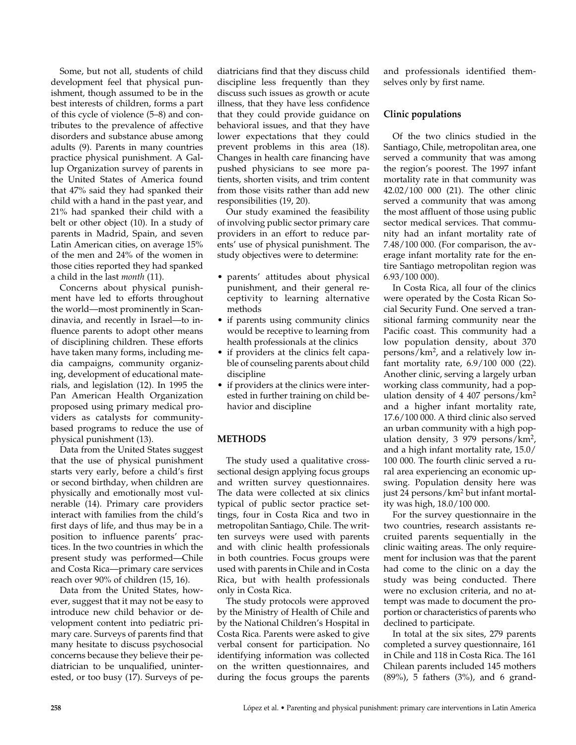Some, but not all, students of child development feel that physical punishment, though assumed to be in the best interests of children, forms a part of this cycle of violence (5–8) and contributes to the prevalence of affective disorders and substance abuse among adults (9). Parents in many countries practice physical punishment. A Gallup Organization survey of parents in the United States of America found that 47% said they had spanked their child with a hand in the past year, and 21% had spanked their child with a belt or other object (10). In a study of parents in Madrid, Spain, and seven Latin American cities, on average 15% of the men and 24% of the women in those cities reported they had spanked a child in the last *month* (11).

Concerns about physical punishment have led to efforts throughout the world—most prominently in Scandinavia, and recently in Israel—to influence parents to adopt other means of disciplining children. These efforts have taken many forms, including media campaigns, community organizing, development of educational materials, and legislation (12). In 1995 the Pan American Health Organization proposed using primary medical providers as catalysts for communitybased programs to reduce the use of physical punishment (13).

Data from the United States suggest that the use of physical punishment starts very early, before a child's first or second birthday, when children are physically and emotionally most vulnerable (14). Primary care providers interact with families from the child's first days of life, and thus may be in a position to influence parents' practices. In the two countries in which the present study was performed—Chile and Costa Rica—primary care services reach over 90% of children (15, 16).

Data from the United States, however, suggest that it may not be easy to introduce new child behavior or development content into pediatric primary care. Surveys of parents find that many hesitate to discuss psychosocial concerns because they believe their pediatrician to be unqualified, uninterested, or too busy (17). Surveys of pediatricians find that they discuss child discipline less frequently than they discuss such issues as growth or acute illness, that they have less confidence that they could provide guidance on behavioral issues, and that they have lower expectations that they could prevent problems in this area (18). Changes in health care financing have pushed physicians to see more patients, shorten visits, and trim content from those visits rather than add new responsibilities (19, 20).

Our study examined the feasibility of involving public sector primary care providers in an effort to reduce parents' use of physical punishment. The study objectives were to determine:

- parents' attitudes about physical punishment, and their general receptivity to learning alternative methods
- if parents using community clinics would be receptive to learning from health professionals at the clinics
- if providers at the clinics felt capable of counseling parents about child discipline
- if providers at the clinics were interested in further training on child behavior and discipline

## **METHODS**

The study used a qualitative crosssectional design applying focus groups and written survey questionnaires. The data were collected at six clinics typical of public sector practice settings, four in Costa Rica and two in metropolitan Santiago, Chile. The written surveys were used with parents and with clinic health professionals in both countries. Focus groups were used with parents in Chile and in Costa Rica, but with health professionals only in Costa Rica.

The study protocols were approved by the Ministry of Health of Chile and by the National Children's Hospital in Costa Rica. Parents were asked to give verbal consent for participation. No identifying information was collected on the written questionnaires, and during the focus groups the parents

and professionals identified themselves only by first name.

# **Clinic populations**

Of the two clinics studied in the Santiago, Chile, metropolitan area, one served a community that was among the region's poorest. The 1997 infant mortality rate in that community was 42.02/100 000 (21). The other clinic served a community that was among the most affluent of those using public sector medical services. That community had an infant mortality rate of 7.48/100 000. (For comparison, the average infant mortality rate for the entire Santiago metropolitan region was 6.93/100 000).

In Costa Rica, all four of the clinics were operated by the Costa Rican Social Security Fund. One served a transitional farming community near the Pacific coast. This community had a low population density, about 370 persons/km2, and a relatively low infant mortality rate, 6.9/100 000 (22). Another clinic, serving a largely urban working class community, had a population density of 4 407 persons/ $km<sup>2</sup>$ and a higher infant mortality rate, 17.6/100 000. A third clinic also served an urban community with a high population density, 3 979 persons/km2, and a high infant mortality rate, 15.0/ 100 000. The fourth clinic served a rural area experiencing an economic upswing. Population density here was just 24 persons/km2 but infant mortality was high, 18.0/100 000.

For the survey questionnaire in the two countries, research assistants recruited parents sequentially in the clinic waiting areas. The only requirement for inclusion was that the parent had come to the clinic on a day the study was being conducted. There were no exclusion criteria, and no attempt was made to document the proportion or characteristics of parents who declined to participate.

In total at the six sites, 279 parents completed a survey questionnaire, 161 in Chile and 118 in Costa Rica. The 161 Chilean parents included 145 mothers (89%), 5 fathers (3%), and 6 grand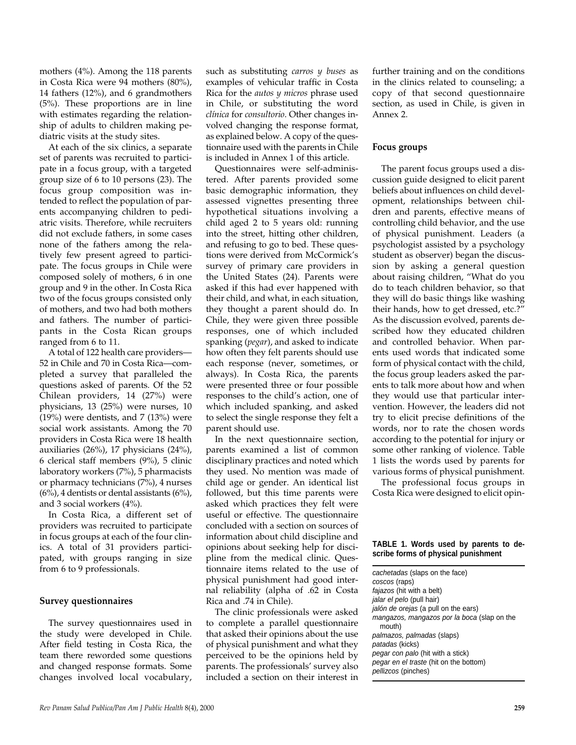mothers (4%). Among the 118 parents in Costa Rica were 94 mothers (80%), 14 fathers (12%), and 6 grandmothers (5%). These proportions are in line with estimates regarding the relationship of adults to children making pediatric visits at the study sites.

At each of the six clinics, a separate set of parents was recruited to participate in a focus group, with a targeted group size of 6 to 10 persons (23). The focus group composition was intended to reflect the population of parents accompanying children to pediatric visits. Therefore, while recruiters did not exclude fathers, in some cases none of the fathers among the relatively few present agreed to participate. The focus groups in Chile were composed solely of mothers, 6 in one group and 9 in the other. In Costa Rica two of the focus groups consisted only of mothers, and two had both mothers and fathers. The number of participants in the Costa Rican groups ranged from 6 to 11.

A total of 122 health care providers— 52 in Chile and 70 in Costa Rica—completed a survey that paralleled the questions asked of parents. Of the 52 Chilean providers, 14 (27%) were physicians, 13 (25%) were nurses, 10  $(19%)$  were dentists, and 7  $(13%)$  were social work assistants. Among the 70 providers in Costa Rica were 18 health auxiliaries (26%), 17 physicians (24%), 6 clerical staff members (9%), 5 clinic laboratory workers (7%), 5 pharmacists or pharmacy technicians (7%), 4 nurses  $(6\%)$ , 4 dentists or dental assistants  $(6\%)$ , and 3 social workers (4%).

In Costa Rica, a different set of providers was recruited to participate in focus groups at each of the four clinics. A total of 31 providers participated, with groups ranging in size from 6 to 9 professionals.

#### **Survey questionnaires**

The survey questionnaires used in the study were developed in Chile. After field testing in Costa Rica, the team there reworded some questions and changed response formats. Some changes involved local vocabulary,

such as substituting *carros y buses* as examples of vehicular traffic in Costa Rica for the *autos y micros* phrase used in Chile, or substituting the word *clínica* for *consultorio*. Other changes involved changing the response format, as explained below. A copy of the questionnaire used with the parents in Chile is included in Annex 1 of this article.

Questionnaires were self-administered. After parents provided some basic demographic information, they assessed vignettes presenting three hypothetical situations involving a child aged 2 to 5 years old: running into the street, hitting other children, and refusing to go to bed. These questions were derived from McCormick's survey of primary care providers in the United States (24). Parents were asked if this had ever happened with their child, and what, in each situation, they thought a parent should do. In Chile, they were given three possible responses, one of which included spanking (*pegar*), and asked to indicate how often they felt parents should use each response (never, sometimes, or always). In Costa Rica, the parents were presented three or four possible responses to the child's action, one of which included spanking, and asked to select the single response they felt a parent should use.

In the next questionnaire section, parents examined a list of common disciplinary practices and noted which they used. No mention was made of child age or gender. An identical list followed, but this time parents were asked which practices they felt were useful or effective. The questionnaire concluded with a section on sources of information about child discipline and opinions about seeking help for discipline from the medical clinic. Questionnaire items related to the use of physical punishment had good internal reliability (alpha of .62 in Costa Rica and .74 in Chile).

The clinic professionals were asked to complete a parallel questionnaire that asked their opinions about the use of physical punishment and what they perceived to be the opinions held by parents. The professionals' survey also included a section on their interest in

further training and on the conditions in the clinics related to counseling; a copy of that second questionnaire section, as used in Chile, is given in Annex 2.

#### **Focus groups**

The parent focus groups used a discussion guide designed to elicit parent beliefs about influences on child development, relationships between children and parents, effective means of controlling child behavior, and the use of physical punishment. Leaders (a psychologist assisted by a psychology student as observer) began the discussion by asking a general question about raising children, "What do you do to teach children behavior, so that they will do basic things like washing their hands, how to get dressed, etc.?" As the discussion evolved, parents described how they educated children and controlled behavior. When parents used words that indicated some form of physical contact with the child, the focus group leaders asked the parents to talk more about how and when they would use that particular intervention. However, the leaders did not try to elicit precise definitions of the words, nor to rate the chosen words according to the potential for injury or some other ranking of violence. Table 1 lists the words used by parents for various forms of physical punishment.

The professional focus groups in Costa Rica were designed to elicit opin-

#### **TABLE 1. Words used by parents to describe forms of physical punishment**

cachetadas (slaps on the face) coscos (raps) fajazos (hit with a belt) jalar el pelo (pull hair) jalón de orejas (a pull on the ears) mangazos, mangazos por la boca (slap on the mouth) palmazos, palmadas (slaps) patadas (kicks) pegar con palo (hit with a stick) pegar en el traste (hit on the bottom) pellizcos (pinches)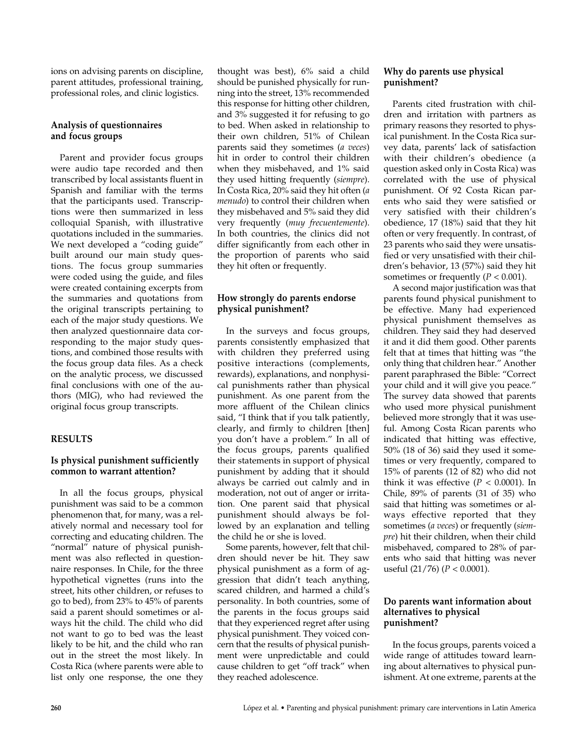ions on advising parents on discipline, parent attitudes, professional training, professional roles, and clinic logistics.

## **Analysis of questionnaires and focus groups**

Parent and provider focus groups were audio tape recorded and then transcribed by local assistants fluent in Spanish and familiar with the terms that the participants used. Transcriptions were then summarized in less colloquial Spanish, with illustrative quotations included in the summaries. We next developed a "coding guide" built around our main study questions. The focus group summaries were coded using the guide, and files were created containing excerpts from the summaries and quotations from the original transcripts pertaining to each of the major study questions. We then analyzed questionnaire data corresponding to the major study questions, and combined those results with the focus group data files. As a check on the analytic process, we discussed final conclusions with one of the authors (MIG), who had reviewed the original focus group transcripts.

## **RESULTS**

# **Is physical punishment sufficiently common to warrant attention?**

In all the focus groups, physical punishment was said to be a common phenomenon that, for many, was a relatively normal and necessary tool for correcting and educating children. The "normal" nature of physical punishment was also reflected in questionnaire responses. In Chile, for the three hypothetical vignettes (runs into the street, hits other children, or refuses to go to bed), from 23% to 45% of parents said a parent should sometimes or always hit the child. The child who did not want to go to bed was the least likely to be hit, and the child who ran out in the street the most likely. In Costa Rica (where parents were able to list only one response, the one they

thought was best), 6% said a child should be punished physically for running into the street, 13% recommended this response for hitting other children, and 3% suggested it for refusing to go to bed. When asked in relationship to their own children, 51% of Chilean parents said they sometimes (*a veces*) hit in order to control their children when they misbehaved, and 1% said they used hitting frequently (*siempre*). In Costa Rica, 20% said they hit often (*a menudo*) to control their children when they misbehaved and 5% said they did very frequently (*muy frecuentemente*). In both countries, the clinics did not differ significantly from each other in the proportion of parents who said they hit often or frequently.

# **How strongly do parents endorse physical punishment?**

In the surveys and focus groups, parents consistently emphasized that with children they preferred using positive interactions (complements, rewards), explanations, and nonphysical punishments rather than physical punishment. As one parent from the more affluent of the Chilean clinics said, "I think that if you talk patiently, clearly, and firmly to children [then] you don't have a problem." In all of the focus groups, parents qualified their statements in support of physical punishment by adding that it should always be carried out calmly and in moderation, not out of anger or irritation. One parent said that physical punishment should always be followed by an explanation and telling the child he or she is loved.

Some parents, however, felt that children should never be hit. They saw physical punishment as a form of aggression that didn't teach anything, scared children, and harmed a child's personality. In both countries, some of the parents in the focus groups said that they experienced regret after using physical punishment. They voiced concern that the results of physical punishment were unpredictable and could cause children to get "off track" when they reached adolescence.

## **Why do parents use physical punishment?**

Parents cited frustration with children and irritation with partners as primary reasons they resorted to physical punishment. In the Costa Rica survey data, parents' lack of satisfaction with their children's obedience (a question asked only in Costa Rica) was correlated with the use of physical punishment. Of 92 Costa Rican parents who said they were satisfied or very satisfied with their children's obedience, 17 (18%) said that they hit often or very frequently. In contrast, of 23 parents who said they were unsatisfied or very unsatisfied with their children's behavior, 13 (57%) said they hit sometimes or frequently  $(P < 0.001)$ .

A second major justification was that parents found physical punishment to be effective. Many had experienced physical punishment themselves as children. They said they had deserved it and it did them good. Other parents felt that at times that hitting was "the only thing that children hear." Another parent paraphrased the Bible: "Correct your child and it will give you peace." The survey data showed that parents who used more physical punishment believed more strongly that it was useful. Among Costa Rican parents who indicated that hitting was effective, 50% (18 of 36) said they used it sometimes or very frequently, compared to 15% of parents (12 of 82) who did not think it was effective  $(P < 0.0001)$ . In Chile, 89% of parents (31 of 35) who said that hitting was sometimes or always effective reported that they sometimes (*a veces*) or frequently (*siempre*) hit their children, when their child misbehaved, compared to 28% of parents who said that hitting was never useful (21/76) (*P* < 0.0001).

#### **Do parents want information about alternatives to physical punishment?**

In the focus groups, parents voiced a wide range of attitudes toward learning about alternatives to physical punishment. At one extreme, parents at the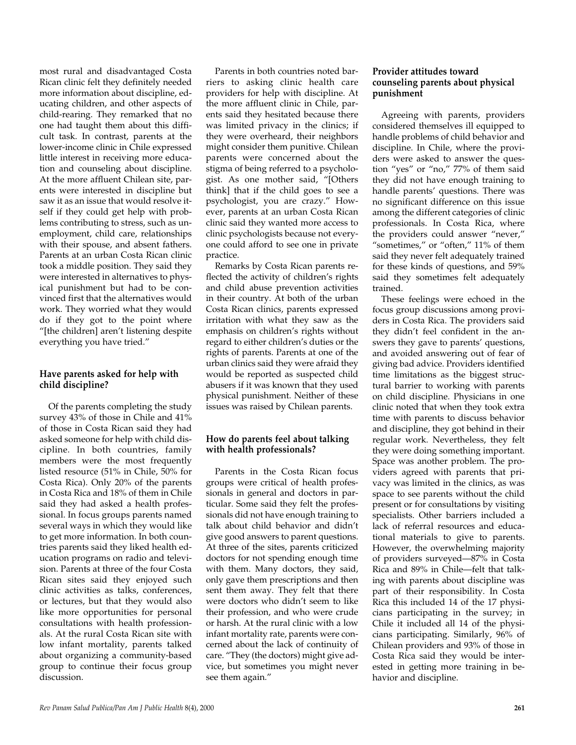most rural and disadvantaged Costa Rican clinic felt they definitely needed more information about discipline, educating children, and other aspects of child-rearing. They remarked that no one had taught them about this difficult task. In contrast, parents at the lower-income clinic in Chile expressed little interest in receiving more education and counseling about discipline. At the more affluent Chilean site, parents were interested in discipline but saw it as an issue that would resolve itself if they could get help with problems contributing to stress, such as unemployment, child care, relationships with their spouse, and absent fathers. Parents at an urban Costa Rican clinic took a middle position. They said they were interested in alternatives to physical punishment but had to be convinced first that the alternatives would work. They worried what they would do if they got to the point where "[the children] aren't listening despite everything you have tried."

## **Have parents asked for help with child discipline?**

Of the parents completing the study survey 43% of those in Chile and 41% of those in Costa Rican said they had asked someone for help with child discipline. In both countries, family members were the most frequently listed resource (51% in Chile, 50% for Costa Rica). Only 20% of the parents in Costa Rica and 18% of them in Chile said they had asked a health professional. In focus groups parents named several ways in which they would like to get more information. In both countries parents said they liked health education programs on radio and television. Parents at three of the four Costa Rican sites said they enjoyed such clinic activities as talks, conferences, or lectures, but that they would also like more opportunities for personal consultations with health professionals. At the rural Costa Rican site with low infant mortality, parents talked about organizing a community-based group to continue their focus group discussion.

Parents in both countries noted barriers to asking clinic health care providers for help with discipline. At the more affluent clinic in Chile, parents said they hesitated because there was limited privacy in the clinics; if they were overheard, their neighbors might consider them punitive. Chilean parents were concerned about the stigma of being referred to a psychologist. As one mother said, "[Others think] that if the child goes to see a psychologist, you are crazy." However, parents at an urban Costa Rican clinic said they wanted more access to clinic psychologists because not everyone could afford to see one in private practice.

Remarks by Costa Rican parents reflected the activity of children's rights and child abuse prevention activities in their country. At both of the urban Costa Rican clinics, parents expressed irritation with what they saw as the emphasis on children's rights without regard to either children's duties or the rights of parents. Parents at one of the urban clinics said they were afraid they would be reported as suspected child abusers if it was known that they used physical punishment. Neither of these issues was raised by Chilean parents.

## **How do parents feel about talking with health professionals?**

Parents in the Costa Rican focus groups were critical of health professionals in general and doctors in particular. Some said they felt the professionals did not have enough training to talk about child behavior and didn't give good answers to parent questions. At three of the sites, parents criticized doctors for not spending enough time with them. Many doctors, they said, only gave them prescriptions and then sent them away. They felt that there were doctors who didn't seem to like their profession, and who were crude or harsh. At the rural clinic with a low infant mortality rate, parents were concerned about the lack of continuity of care. "They (the doctors) might give advice, but sometimes you might never see them again."

## **Provider attitudes toward counseling parents about physical punishment**

Agreeing with parents, providers considered themselves ill equipped to handle problems of child behavior and discipline. In Chile, where the providers were asked to answer the question "yes" or "no," 77% of them said they did not have enough training to handle parents' questions. There was no significant difference on this issue among the different categories of clinic professionals. In Costa Rica, where the providers could answer "never," "sometimes," or "often," 11% of them said they never felt adequately trained for these kinds of questions, and 59% said they sometimes felt adequately trained.

These feelings were echoed in the focus group discussions among providers in Costa Rica. The providers said they didn't feel confident in the answers they gave to parents' questions, and avoided answering out of fear of giving bad advice. Providers identified time limitations as the biggest structural barrier to working with parents on child discipline. Physicians in one clinic noted that when they took extra time with parents to discuss behavior and discipline, they got behind in their regular work. Nevertheless, they felt they were doing something important. Space was another problem. The providers agreed with parents that privacy was limited in the clinics, as was space to see parents without the child present or for consultations by visiting specialists. Other barriers included a lack of referral resources and educational materials to give to parents. However, the overwhelming majority of providers surveyed—87% in Costa Rica and 89% in Chile—felt that talking with parents about discipline was part of their responsibility. In Costa Rica this included 14 of the 17 physicians participating in the survey; in Chile it included all 14 of the physicians participating. Similarly, 96% of Chilean providers and 93% of those in Costa Rica said they would be interested in getting more training in behavior and discipline.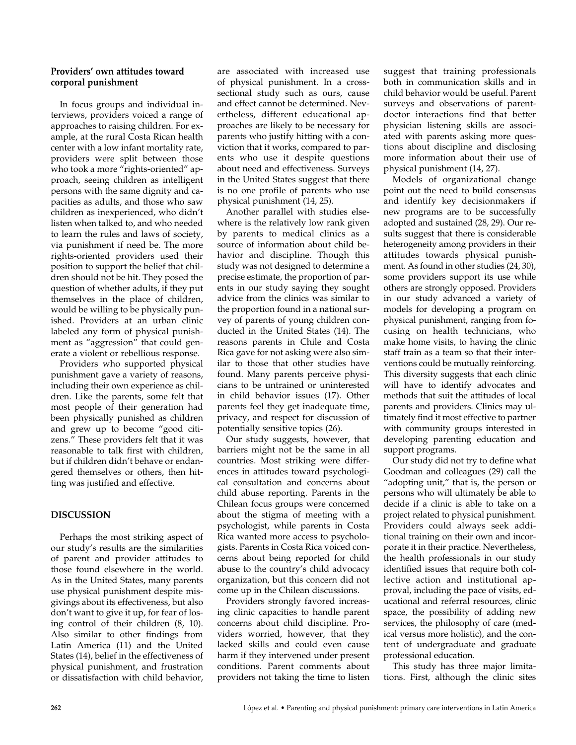## **Providers' own attitudes toward corporal punishment**

In focus groups and individual interviews, providers voiced a range of approaches to raising children. For example, at the rural Costa Rican health center with a low infant mortality rate, providers were split between those who took a more "rights-oriented" approach, seeing children as intelligent persons with the same dignity and capacities as adults, and those who saw children as inexperienced, who didn't listen when talked to, and who needed to learn the rules and laws of society, via punishment if need be. The more rights-oriented providers used their position to support the belief that children should not be hit. They posed the question of whether adults, if they put themselves in the place of children, would be willing to be physically punished. Providers at an urban clinic labeled any form of physical punishment as "aggression" that could generate a violent or rebellious response.

Providers who supported physical punishment gave a variety of reasons, including their own experience as children. Like the parents, some felt that most people of their generation had been physically punished as children and grew up to become "good citizens." These providers felt that it was reasonable to talk first with children, but if children didn't behave or endangered themselves or others, then hitting was justified and effective.

# **DISCUSSION**

Perhaps the most striking aspect of our study's results are the similarities of parent and provider attitudes to those found elsewhere in the world. As in the United States, many parents use physical punishment despite misgivings about its effectiveness, but also don't want to give it up, for fear of losing control of their children (8, 10). Also similar to other findings from Latin America (11) and the United States (14), belief in the effectiveness of physical punishment, and frustration or dissatisfaction with child behavior,

are associated with increased use of physical punishment. In a crosssectional study such as ours, cause and effect cannot be determined. Nevertheless, different educational approaches are likely to be necessary for parents who justify hitting with a conviction that it works, compared to parents who use it despite questions about need and effectiveness. Surveys in the United States suggest that there is no one profile of parents who use physical punishment (14, 25).

Another parallel with studies elsewhere is the relatively low rank given by parents to medical clinics as a source of information about child behavior and discipline. Though this study was not designed to determine a precise estimate, the proportion of parents in our study saying they sought advice from the clinics was similar to the proportion found in a national survey of parents of young children conducted in the United States (14). The reasons parents in Chile and Costa Rica gave for not asking were also similar to those that other studies have found. Many parents perceive physicians to be untrained or uninterested in child behavior issues (17). Other parents feel they get inadequate time, privacy, and respect for discussion of potentially sensitive topics (26).

Our study suggests, however, that barriers might not be the same in all countries. Most striking were differences in attitudes toward psychological consultation and concerns about child abuse reporting. Parents in the Chilean focus groups were concerned about the stigma of meeting with a psychologist, while parents in Costa Rica wanted more access to psychologists. Parents in Costa Rica voiced concerns about being reported for child abuse to the country's child advocacy organization, but this concern did not come up in the Chilean discussions.

Providers strongly favored increasing clinic capacities to handle parent concerns about child discipline. Providers worried, however, that they lacked skills and could even cause harm if they intervened under present conditions. Parent comments about providers not taking the time to listen

suggest that training professionals both in communication skills and in child behavior would be useful. Parent surveys and observations of parentdoctor interactions find that better physician listening skills are associated with parents asking more questions about discipline and disclosing more information about their use of physical punishment (14, 27).

Models of organizational change point out the need to build consensus and identify key decisionmakers if new programs are to be successfully adopted and sustained (28, 29). Our results suggest that there is considerable heterogeneity among providers in their attitudes towards physical punishment. As found in other studies (24, 30), some providers support its use while others are strongly opposed. Providers in our study advanced a variety of models for developing a program on physical punishment, ranging from focusing on health technicians, who make home visits, to having the clinic staff train as a team so that their interventions could be mutually reinforcing. This diversity suggests that each clinic will have to identify advocates and methods that suit the attitudes of local parents and providers. Clinics may ultimately find it most effective to partner with community groups interested in developing parenting education and support programs.

Our study did not try to define what Goodman and colleagues (29) call the "adopting unit," that is, the person or persons who will ultimately be able to decide if a clinic is able to take on a project related to physical punishment. Providers could always seek additional training on their own and incorporate it in their practice. Nevertheless, the health professionals in our study identified issues that require both collective action and institutional approval, including the pace of visits, educational and referral resources, clinic space, the possibility of adding new services, the philosophy of care (medical versus more holistic), and the content of undergraduate and graduate professional education.

This study has three major limitations. First, although the clinic sites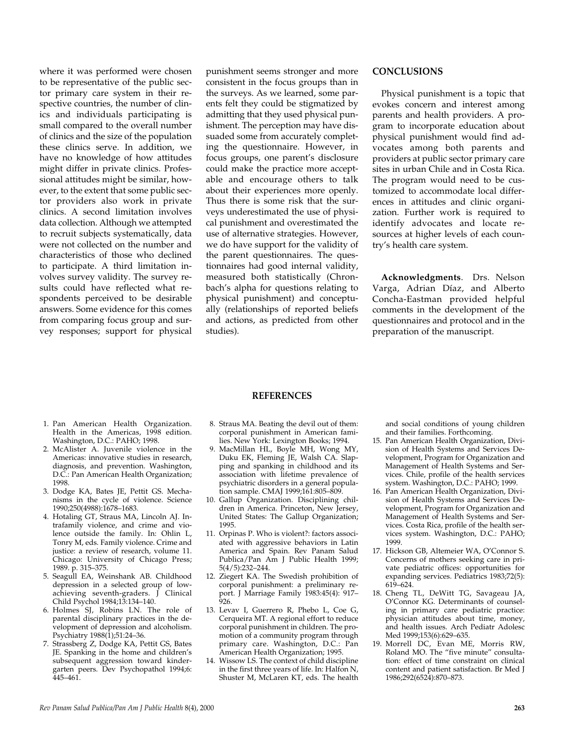where it was performed were chosen to be representative of the public sector primary care system in their respective countries, the number of clinics and individuals participating is small compared to the overall number of clinics and the size of the population these clinics serve. In addition, we have no knowledge of how attitudes might differ in private clinics. Professional attitudes might be similar, however, to the extent that some public sector providers also work in private clinics. A second limitation involves data collection. Although we attempted to recruit subjects systematically, data were not collected on the number and characteristics of those who declined to participate. A third limitation involves survey validity. The survey results could have reflected what respondents perceived to be desirable answers. Some evidence for this comes from comparing focus group and survey responses; support for physical

punishment seems stronger and more consistent in the focus groups than in the surveys. As we learned, some parents felt they could be stigmatized by admitting that they used physical punishment. The perception may have dissuaded some from accurately completing the questionnaire. However, in focus groups, one parent's disclosure could make the practice more acceptable and encourage others to talk about their experiences more openly. Thus there is some risk that the surveys underestimated the use of physical punishment and overestimated the use of alternative strategies. However, we do have support for the validity of the parent questionnaires. The questionnaires had good internal validity, measured both statistically (Chronbach's alpha for questions relating to physical punishment) and conceptually (relationships of reported beliefs and actions, as predicted from other studies).

#### **CONCLUSIONS**

Physical punishment is a topic that evokes concern and interest among parents and health providers. A program to incorporate education about physical punishment would find advocates among both parents and providers at public sector primary care sites in urban Chile and in Costa Rica. The program would need to be customized to accommodate local differences in attitudes and clinic organization. Further work is required to identify advocates and locate resources at higher levels of each country's health care system.

**Acknowledgments**. Drs. Nelson Varga, Adrian Díaz, and Alberto Concha-Eastman provided helpful comments in the development of the questionnaires and protocol and in the preparation of the manuscript.

- 1. Pan American Health Organization. Health in the Americas, 1998 edition. Washington, D.C.: PAHO; 1998.
- 2. McAlister A. Juvenile violence in the Americas: innovative studies in research, diagnosis, and prevention. Washington, D.C.: Pan American Health Organization; 1998.
- 3. Dodge KA, Bates JE, Pettit GS. Mechanisms in the cycle of violence. Science 1990;250(4988):1678–1683.
- 4. Hotaling GT, Straus MA, Lincoln AJ. Intrafamily violence, and crime and violence outside the family. In: Ohlin L, Tonry M, eds. Family violence. Crime and justice: a review of research, volume 11. Chicago: University of Chicago Press; 1989. p. 315–375.
- 5. Seagull EA, Weinshank AB. Childhood depression in a selected group of lowachieving seventh-graders. J Clinical Child Psychol 1984;13:134–140.
- 6. Holmes SJ, Robins LN. The role of parental disciplinary practices in the development of depression and alcoholism. Psychiatry 1988(1);51:24–36.
- 7. Strassberg Z, Dodge KA, Pettit GS, Bates JE. Spanking in the home and children's subsequent aggression toward kindergarten peers. Dev Psychopathol 1994;6: 445–461.
- **REFERENCES**
- 8. Straus MA. Beating the devil out of them: corporal punishment in American families. New York: Lexington Books; 1994.
- 9. MacMillan HL, Boyle MH, Wong MY, Duku EK, Fleming JE, Walsh CA. Slapping and spanking in childhood and its association with lifetime prevalence of psychiatric disorders in a general population sample. CMAJ 1999;161:805–809.
- 10. Gallup Organization. Disciplining children in America. Princeton, New Jersey, United States: The Gallup Organization; 1995.
- 11. Orpinas P. Who is violent?: factors associated with aggressive behaviors in Latin America and Spain. Rev Panam Salud Publica/Pan Am J Public Health 1999; 5(4/5):232–244.
- 12. Ziegert KA. The Swedish prohibition of corporal punishment: a preliminary report. J Marriage Family 1983:45(4): 917– 926.
- 13. Levav I, Guerrero R, Phebo L, Coe G, Cerqueira MT. A regional effort to reduce corporal punishment in children. The promotion of a community program through primary care. Washington, D.C.: Pan American Health Organization; 1995.
- 14. Wissow LS. The context of child discipline in the first three years of life. In: Halfon N, Shuster M, McLaren KT, eds. The health

and social conditions of young children and their families. Forthcoming.

- 15. Pan American Health Organization, Division of Health Systems and Services Development, Program for Organization and Management of Health Systems and Services. Chile, profile of the health services system. Washington, D.C.: PAHO; 1999.
- 16. Pan American Health Organization, Division of Health Systems and Services Development, Program for Organization and Management of Health Systems and Services. Costa Rica, profile of the health services system. Washington, D.C.: PAHO; 1999.
- 17. Hickson GB, Altemeier WA, O'Connor S. Concerns of mothers seeking care in private pediatric offices: opportunities for expanding services. Pediatrics 1983;72(5): 619–624.
- 18. Cheng TL, DeWitt TG, Savageau JA, O'Connor KG. Determinants of counseling in primary care pediatric practice: physician attitudes about time, money, and health issues. Arch Pediatr Adolesc Med 1999;153(6):629-635.
- 19. Morrell DC, Evan ME, Morris RW, Roland MO. The "five minute" consultation: effect of time constraint on clinical content and patient satisfaction. Br Med J 1986;292(6524):870–873.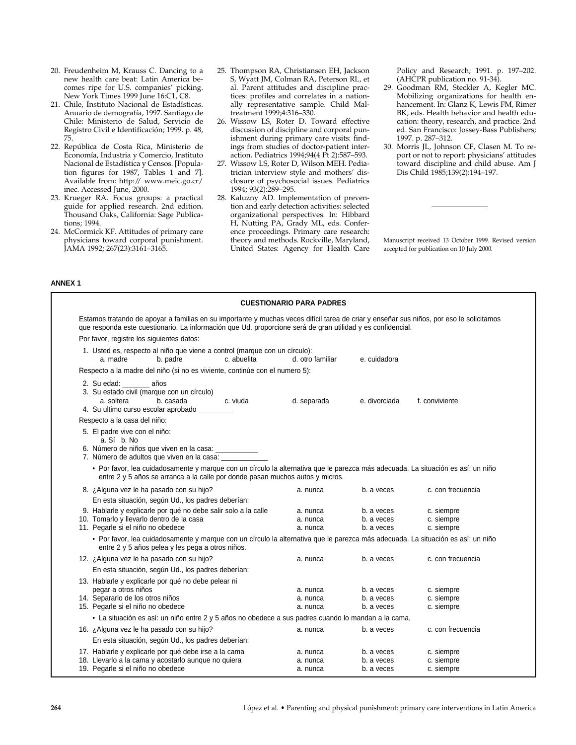- 20. Freudenheim M, Krauss C. Dancing to a new health care beat: Latin America becomes ripe for U.S. companies' picking. New York Times 1999 June 16:C1, C8.
- 21. Chile, Instituto Nacional de Estadísticas. Anuario de demografía, 1997. Santiago de Chile: Ministerio de Salud, Servicio de Registro Civil e Identificación; 1999. p. 48, 75.
- 22. República de Costa Rica, Ministerio de Economía, Industria y Comercio, Instituto Nacional de Estadística y Censos. [Population figures for 1987, Tables 1 and 7]. Available from: http:// www.meic.go.cr/ inec. Accessed June, 2000.
- 23. Krueger RA. Focus groups: a practical guide for applied research. 2nd edition. Thousand Oaks, California: Sage Publications; 1994.
- 24. McCormick KF. Attitudes of primary care physicians toward corporal punishment. JAMA 1992; 267(23):3161–3165.
- 25. Thompson RA, Christiansen EH, Jackson S, Wyatt JM, Colman RA, Peterson RL, et al. Parent attitudes and discipline practices: profiles and correlates in a nationally representative sample. Child Maltreatment 1999;4:316–330.
- 26. Wissow LS, Roter D. Toward effective discussion of discipline and corporal punishment during primary care visits: findings from studies of doctor-patient interaction. Pediatrics 1994;94(4 Pt 2):587–593.
- 27. Wissow LS, Roter D, Wilson MEH. Pediatrician interview style and mothers' disclosure of psychosocial issues. Pediatrics 1994; 93(2):289–295.
- 28. Kaluzny AD. Implementation of prevention and early detection activities: selected organizational perspectives. In: Hibbard H, Nutting PA, Grady ML, eds. Conference proceedings. Primary care research: theory and methods. Rockville, Maryland, United States: Agency for Health Care

Policy and Research; 1991. p. 197–202. (AHCPR publication no. 91-34).

- 29. Goodman RM, Steckler A, Kegler MC. Mobilizing organizations for health enhancement. In: Glanz K, Lewis FM, Rimer BK, eds. Health behavior and health education: theory, research, and practice. 2nd ed. San Francisco: Jossey-Bass Publishers; 1997. p. 287–312.
- 30. Morris JL, Johnson CF, Clasen M. To report or not to report: physicians' attitudes toward discipline and child abuse. Am J Dis Child 1985;139(2):194–197.

Manuscript received 13 October 1999. Revised version accepted for publication on 10 July 2000.

| Estamos tratando de apoyar a familias en su importante y muchas veces difícil tarea de criar y enseñar sus niños, por eso le solicitamos<br>que responda este cuestionario. La información que Ud. proporcione será de gran utilidad y es confidencial.<br>Por favor, registre los siguientes datos:<br>1. Usted es, respecto al niño que viene a control (marque con un círculo):<br>c. abuelita<br>e. cuidadora<br>a. madre<br>b. padre<br>d. otro familiar<br>Respecto a la madre del niño (si no es viviente, continúe con el numero 5):<br>2. Su edad:<br>años<br>3. Su estado civil (marque con un círculo)<br>d. separada<br>a. soltera<br>b. casada<br>c. viuda<br>e. divorciada<br>4. Su ultimo curso escolar aprobado ___<br>Respecto a la casa del niño:<br>5. El padre vive con el niño:<br>a. Sí b. No<br>6. Número de niños que viven en la casa: ____________<br>7. Número de adultos que viven en la casa:<br>• Por favor, lea cuidadosamente y marque con un círculo la alternativa que le parezca más adecuada. La situación es así: un niño<br>entre 2 y 5 años se arranca a la calle por donde pasan muchos autos y micros.<br>8. ¿Alguna vez le ha pasado con su hijo?<br>b. a veces<br>a. nunca<br>En esta situación, según Ud., los padres deberían:<br>9. Hablarle y explicarle por qué no debe salir solo a la calle<br>a. nunca<br>b. a veces<br>10. Tomarlo y llevarlo dentro de la casa<br>b. a veces<br>a. nunca<br>11. Pegarle si el niño no obedece<br>b. a veces<br>a. nunca<br>• Por favor, lea cuidadosamente y marque con un círculo la alternativa que le parezca más adecuada. La situación es así: un niño<br>entre 2 y 5 años pelea y les pega a otros niños.<br>12. ¿Alguna vez le ha pasado con su hijo?<br>a. nunca<br>b. a veces<br>En esta situación, según Ud., los padres deberían:<br>13. Hablarle y explicarle por qué no debe pelear ni<br>pegar a otros niños<br>b. a veces<br>a. nunca<br>14. Separarlo de los otros niños<br>b. a veces<br>a. nunca<br>15. Pegarle si el niño no obedece<br>a. nunca<br>b. a veces<br>• La situación es así: un niño entre 2 y 5 años no obedece a sus padres cuando lo mandan a la cama.<br>16. ¿Alguna vez le ha pasado con su hijo?<br>a. nunca<br>b. a veces<br>En esta situación, según Ud., los padres deberían:<br>17. Hablarle y explicarle por qué debe irse a la cama<br>b. a veces<br>a. nunca |  |                   |  | <b>CUESTIONARIO PARA PADRES</b> |  |  |  |  |
|-----------------------------------------------------------------------------------------------------------------------------------------------------------------------------------------------------------------------------------------------------------------------------------------------------------------------------------------------------------------------------------------------------------------------------------------------------------------------------------------------------------------------------------------------------------------------------------------------------------------------------------------------------------------------------------------------------------------------------------------------------------------------------------------------------------------------------------------------------------------------------------------------------------------------------------------------------------------------------------------------------------------------------------------------------------------------------------------------------------------------------------------------------------------------------------------------------------------------------------------------------------------------------------------------------------------------------------------------------------------------------------------------------------------------------------------------------------------------------------------------------------------------------------------------------------------------------------------------------------------------------------------------------------------------------------------------------------------------------------------------------------------------------------------------------------------------------------------------------------------------------------------------------------------------------------------------------------------------------------------------------------------------------------------------------------------------------------------------------------------------------------------------------------------------------------------------------------------------------------------------------------------------------------------------------------------------------------------------------------------------------------------------|--|-------------------|--|---------------------------------|--|--|--|--|
|                                                                                                                                                                                                                                                                                                                                                                                                                                                                                                                                                                                                                                                                                                                                                                                                                                                                                                                                                                                                                                                                                                                                                                                                                                                                                                                                                                                                                                                                                                                                                                                                                                                                                                                                                                                                                                                                                                                                                                                                                                                                                                                                                                                                                                                                                                                                                                                               |  |                   |  |                                 |  |  |  |  |
|                                                                                                                                                                                                                                                                                                                                                                                                                                                                                                                                                                                                                                                                                                                                                                                                                                                                                                                                                                                                                                                                                                                                                                                                                                                                                                                                                                                                                                                                                                                                                                                                                                                                                                                                                                                                                                                                                                                                                                                                                                                                                                                                                                                                                                                                                                                                                                                               |  |                   |  |                                 |  |  |  |  |
|                                                                                                                                                                                                                                                                                                                                                                                                                                                                                                                                                                                                                                                                                                                                                                                                                                                                                                                                                                                                                                                                                                                                                                                                                                                                                                                                                                                                                                                                                                                                                                                                                                                                                                                                                                                                                                                                                                                                                                                                                                                                                                                                                                                                                                                                                                                                                                                               |  |                   |  |                                 |  |  |  |  |
|                                                                                                                                                                                                                                                                                                                                                                                                                                                                                                                                                                                                                                                                                                                                                                                                                                                                                                                                                                                                                                                                                                                                                                                                                                                                                                                                                                                                                                                                                                                                                                                                                                                                                                                                                                                                                                                                                                                                                                                                                                                                                                                                                                                                                                                                                                                                                                                               |  |                   |  |                                 |  |  |  |  |
|                                                                                                                                                                                                                                                                                                                                                                                                                                                                                                                                                                                                                                                                                                                                                                                                                                                                                                                                                                                                                                                                                                                                                                                                                                                                                                                                                                                                                                                                                                                                                                                                                                                                                                                                                                                                                                                                                                                                                                                                                                                                                                                                                                                                                                                                                                                                                                                               |  | f. conviviente    |  |                                 |  |  |  |  |
|                                                                                                                                                                                                                                                                                                                                                                                                                                                                                                                                                                                                                                                                                                                                                                                                                                                                                                                                                                                                                                                                                                                                                                                                                                                                                                                                                                                                                                                                                                                                                                                                                                                                                                                                                                                                                                                                                                                                                                                                                                                                                                                                                                                                                                                                                                                                                                                               |  |                   |  |                                 |  |  |  |  |
|                                                                                                                                                                                                                                                                                                                                                                                                                                                                                                                                                                                                                                                                                                                                                                                                                                                                                                                                                                                                                                                                                                                                                                                                                                                                                                                                                                                                                                                                                                                                                                                                                                                                                                                                                                                                                                                                                                                                                                                                                                                                                                                                                                                                                                                                                                                                                                                               |  |                   |  |                                 |  |  |  |  |
|                                                                                                                                                                                                                                                                                                                                                                                                                                                                                                                                                                                                                                                                                                                                                                                                                                                                                                                                                                                                                                                                                                                                                                                                                                                                                                                                                                                                                                                                                                                                                                                                                                                                                                                                                                                                                                                                                                                                                                                                                                                                                                                                                                                                                                                                                                                                                                                               |  |                   |  |                                 |  |  |  |  |
|                                                                                                                                                                                                                                                                                                                                                                                                                                                                                                                                                                                                                                                                                                                                                                                                                                                                                                                                                                                                                                                                                                                                                                                                                                                                                                                                                                                                                                                                                                                                                                                                                                                                                                                                                                                                                                                                                                                                                                                                                                                                                                                                                                                                                                                                                                                                                                                               |  | c. con frecuencia |  |                                 |  |  |  |  |
|                                                                                                                                                                                                                                                                                                                                                                                                                                                                                                                                                                                                                                                                                                                                                                                                                                                                                                                                                                                                                                                                                                                                                                                                                                                                                                                                                                                                                                                                                                                                                                                                                                                                                                                                                                                                                                                                                                                                                                                                                                                                                                                                                                                                                                                                                                                                                                                               |  | c. siempre        |  |                                 |  |  |  |  |
|                                                                                                                                                                                                                                                                                                                                                                                                                                                                                                                                                                                                                                                                                                                                                                                                                                                                                                                                                                                                                                                                                                                                                                                                                                                                                                                                                                                                                                                                                                                                                                                                                                                                                                                                                                                                                                                                                                                                                                                                                                                                                                                                                                                                                                                                                                                                                                                               |  | c. siempre        |  |                                 |  |  |  |  |
|                                                                                                                                                                                                                                                                                                                                                                                                                                                                                                                                                                                                                                                                                                                                                                                                                                                                                                                                                                                                                                                                                                                                                                                                                                                                                                                                                                                                                                                                                                                                                                                                                                                                                                                                                                                                                                                                                                                                                                                                                                                                                                                                                                                                                                                                                                                                                                                               |  | c. siempre        |  |                                 |  |  |  |  |
|                                                                                                                                                                                                                                                                                                                                                                                                                                                                                                                                                                                                                                                                                                                                                                                                                                                                                                                                                                                                                                                                                                                                                                                                                                                                                                                                                                                                                                                                                                                                                                                                                                                                                                                                                                                                                                                                                                                                                                                                                                                                                                                                                                                                                                                                                                                                                                                               |  |                   |  |                                 |  |  |  |  |
|                                                                                                                                                                                                                                                                                                                                                                                                                                                                                                                                                                                                                                                                                                                                                                                                                                                                                                                                                                                                                                                                                                                                                                                                                                                                                                                                                                                                                                                                                                                                                                                                                                                                                                                                                                                                                                                                                                                                                                                                                                                                                                                                                                                                                                                                                                                                                                                               |  | c. con frecuencia |  |                                 |  |  |  |  |
|                                                                                                                                                                                                                                                                                                                                                                                                                                                                                                                                                                                                                                                                                                                                                                                                                                                                                                                                                                                                                                                                                                                                                                                                                                                                                                                                                                                                                                                                                                                                                                                                                                                                                                                                                                                                                                                                                                                                                                                                                                                                                                                                                                                                                                                                                                                                                                                               |  |                   |  |                                 |  |  |  |  |
|                                                                                                                                                                                                                                                                                                                                                                                                                                                                                                                                                                                                                                                                                                                                                                                                                                                                                                                                                                                                                                                                                                                                                                                                                                                                                                                                                                                                                                                                                                                                                                                                                                                                                                                                                                                                                                                                                                                                                                                                                                                                                                                                                                                                                                                                                                                                                                                               |  |                   |  |                                 |  |  |  |  |
|                                                                                                                                                                                                                                                                                                                                                                                                                                                                                                                                                                                                                                                                                                                                                                                                                                                                                                                                                                                                                                                                                                                                                                                                                                                                                                                                                                                                                                                                                                                                                                                                                                                                                                                                                                                                                                                                                                                                                                                                                                                                                                                                                                                                                                                                                                                                                                                               |  | c. siempre        |  |                                 |  |  |  |  |
|                                                                                                                                                                                                                                                                                                                                                                                                                                                                                                                                                                                                                                                                                                                                                                                                                                                                                                                                                                                                                                                                                                                                                                                                                                                                                                                                                                                                                                                                                                                                                                                                                                                                                                                                                                                                                                                                                                                                                                                                                                                                                                                                                                                                                                                                                                                                                                                               |  | c. siempre        |  |                                 |  |  |  |  |
|                                                                                                                                                                                                                                                                                                                                                                                                                                                                                                                                                                                                                                                                                                                                                                                                                                                                                                                                                                                                                                                                                                                                                                                                                                                                                                                                                                                                                                                                                                                                                                                                                                                                                                                                                                                                                                                                                                                                                                                                                                                                                                                                                                                                                                                                                                                                                                                               |  | c. siempre        |  |                                 |  |  |  |  |
|                                                                                                                                                                                                                                                                                                                                                                                                                                                                                                                                                                                                                                                                                                                                                                                                                                                                                                                                                                                                                                                                                                                                                                                                                                                                                                                                                                                                                                                                                                                                                                                                                                                                                                                                                                                                                                                                                                                                                                                                                                                                                                                                                                                                                                                                                                                                                                                               |  |                   |  |                                 |  |  |  |  |
|                                                                                                                                                                                                                                                                                                                                                                                                                                                                                                                                                                                                                                                                                                                                                                                                                                                                                                                                                                                                                                                                                                                                                                                                                                                                                                                                                                                                                                                                                                                                                                                                                                                                                                                                                                                                                                                                                                                                                                                                                                                                                                                                                                                                                                                                                                                                                                                               |  | c. con frecuencia |  |                                 |  |  |  |  |
|                                                                                                                                                                                                                                                                                                                                                                                                                                                                                                                                                                                                                                                                                                                                                                                                                                                                                                                                                                                                                                                                                                                                                                                                                                                                                                                                                                                                                                                                                                                                                                                                                                                                                                                                                                                                                                                                                                                                                                                                                                                                                                                                                                                                                                                                                                                                                                                               |  |                   |  |                                 |  |  |  |  |
|                                                                                                                                                                                                                                                                                                                                                                                                                                                                                                                                                                                                                                                                                                                                                                                                                                                                                                                                                                                                                                                                                                                                                                                                                                                                                                                                                                                                                                                                                                                                                                                                                                                                                                                                                                                                                                                                                                                                                                                                                                                                                                                                                                                                                                                                                                                                                                                               |  | c. siempre        |  |                                 |  |  |  |  |
| 18. Llevarlo a la cama y acostarlo aunque no quiera<br>a. nunca<br>b. a veces                                                                                                                                                                                                                                                                                                                                                                                                                                                                                                                                                                                                                                                                                                                                                                                                                                                                                                                                                                                                                                                                                                                                                                                                                                                                                                                                                                                                                                                                                                                                                                                                                                                                                                                                                                                                                                                                                                                                                                                                                                                                                                                                                                                                                                                                                                                 |  | c. siempre        |  |                                 |  |  |  |  |

# **264** López et al. • Parenting and physical punishment: primary care interventions in Latin America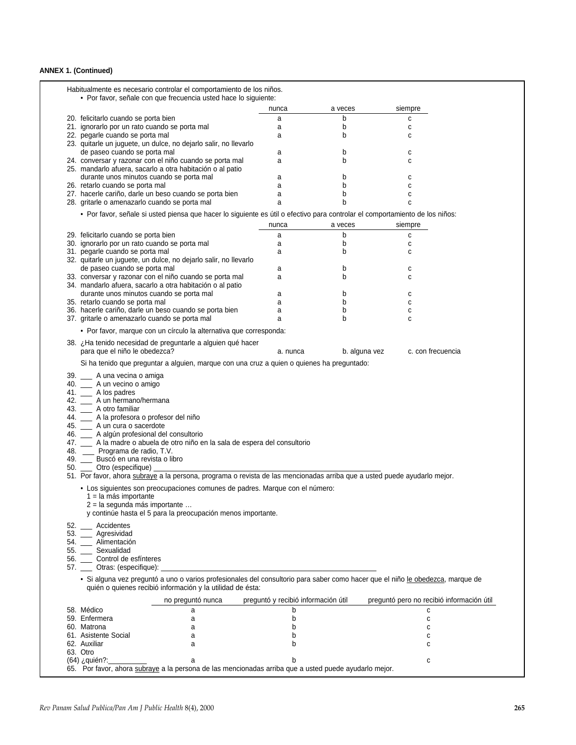## **ANNEX 1. (Continued)**

|                                                                                                                                | • Por favor, señale con que frecuencia usted hace lo siguiente: |               |                                           |
|--------------------------------------------------------------------------------------------------------------------------------|-----------------------------------------------------------------|---------------|-------------------------------------------|
|                                                                                                                                | nunca                                                           | a veces       | siempre                                   |
| 20. felicitarlo cuando se porta bien                                                                                           | a                                                               | b             | c                                         |
| 21. ignorarlo por un rato cuando se porta mal                                                                                  | а                                                               | b             | C                                         |
| 22. pegarle cuando se porta mal                                                                                                | а                                                               | b             | C                                         |
| 23. quitarle un juguete, un dulce, no dejarlo salir, no llevarlo                                                               |                                                                 |               |                                           |
| de paseo cuando se porta mal                                                                                                   | а                                                               | b             | с                                         |
| 24. conversar y razonar con el niño cuando se porta mal                                                                        | a                                                               | b             | C                                         |
| 25. mandarlo afuera, sacarlo a otra habitación o al patio<br>durante unos minutos cuando se porta mal                          |                                                                 | b             |                                           |
| 26. retarlo cuando se porta mal                                                                                                | a<br>a                                                          | b             | с<br>c                                    |
| 27. hacerle cariño, darle un beso cuando se porta bien                                                                         | a                                                               | b             | C                                         |
| 28. gritarle o amenazarlo cuando se porta mal                                                                                  | a                                                               | b             | c                                         |
| • Por favor, señale si usted piensa que hacer lo siguiente es útil o efectivo para controlar el comportamiento de los niños:   |                                                                 |               |                                           |
|                                                                                                                                |                                                                 |               |                                           |
|                                                                                                                                | nunca                                                           | a veces       | siempre                                   |
| 29. felicitarlo cuando se porta bien                                                                                           | a                                                               | b             | C                                         |
| 30. ignorarlo por un rato cuando se porta mal                                                                                  | a                                                               | b             | c                                         |
| 31. pegarle cuando se porta mal                                                                                                | a                                                               | b             | С                                         |
| 32. quitarle un juguete, un dulce, no dejarlo salir, no llevarlo                                                               |                                                                 |               |                                           |
| de paseo cuando se porta mal<br>33. conversar y razonar con el niño cuando se porta mal                                        | а<br>a                                                          | b<br>b        | с<br>C                                    |
| 34. mandarlo afuera, sacarlo a otra habitación o al patio                                                                      |                                                                 |               |                                           |
| durante unos minutos cuando se porta mal                                                                                       | a                                                               | b             | с                                         |
| 35. retarlo cuando se porta mal                                                                                                | a                                                               | b             | C                                         |
| 36. hacerle cariño, darle un beso cuando se porta bien                                                                         | a                                                               | b             | C                                         |
| 37. gritarle o amenazarlo cuando se porta mal                                                                                  | a                                                               | b             | C                                         |
| • Por favor, marque con un círculo la alternativa que corresponda:                                                             |                                                                 |               |                                           |
|                                                                                                                                |                                                                 |               |                                           |
| 38. ¿Ha tenido necesidad de preguntarle a alguien qué hacer<br>para que el niño le obedezca?                                   | a. nunca                                                        | b. alguna vez | c. con frecuencia                         |
| Si ha tenido que preguntar a alguien, marque con una cruz a quien o quienes ha preguntado:                                     |                                                                 |               |                                           |
| 39. __ A una vecina o amiga                                                                                                    |                                                                 |               |                                           |
| 40. __ A un vecino o amigo                                                                                                     |                                                                 |               |                                           |
|                                                                                                                                |                                                                 |               |                                           |
| 41. __ A los padres                                                                                                            |                                                                 |               |                                           |
| 42. __ A un hermano/hermana                                                                                                    |                                                                 |               |                                           |
| 43. __ A otro familiar                                                                                                         |                                                                 |               |                                           |
| 44. _ A la profesora o profesor del niño                                                                                       |                                                                 |               |                                           |
| 45. __ A un cura o sacerdote                                                                                                   |                                                                 |               |                                           |
| 46. __ A algún profesional del consultorio                                                                                     |                                                                 |               |                                           |
| 47. __ A la madre o abuela de otro niño en la sala de espera del consultorio<br>48. __ Programa de radio, T.V.                 |                                                                 |               |                                           |
| 49. _ Buscó en una revista o libro                                                                                             |                                                                 |               |                                           |
| 50. __ Otro (especifique)                                                                                                      |                                                                 |               |                                           |
| 51. Por favor, ahora subraye a la persona, programa o revista de las mencionadas arriba que a usted puede ayudarlo mejor.      |                                                                 |               |                                           |
| • Los siguientes son preocupaciones comunes de padres. Marque con el número:                                                   |                                                                 |               |                                           |
| 1 = la más importante                                                                                                          |                                                                 |               |                                           |
| 2 = la segunda más importante                                                                                                  |                                                                 |               |                                           |
| y continúe hasta el 5 para la preocupación menos importante.                                                                   |                                                                 |               |                                           |
| 52. Accidentes                                                                                                                 |                                                                 |               |                                           |
|                                                                                                                                |                                                                 |               |                                           |
| 53. __ Agresividad                                                                                                             |                                                                 |               |                                           |
| 54. _ Alimentación<br>55. __ Sexualidad                                                                                        |                                                                 |               |                                           |
| 56. __ Control de esfínteres                                                                                                   |                                                                 |               |                                           |
| 57. __ Otras: (especifique): _                                                                                                 |                                                                 |               |                                           |
| · Si alguna vez preguntó a uno o varios profesionales del consultorio para saber como hacer que el niño le obedezca, marque de |                                                                 |               |                                           |
| quién o quienes recibió información y la utilidad de ésta:<br>no preguntó nunca                                                | preguntó y recibió información útil                             |               | preguntó pero no recibió información útil |
|                                                                                                                                | b                                                               |               | C                                         |
| 58. Médico<br>а<br>59. Enfermera<br>a                                                                                          | b                                                               |               | C                                         |
| 60. Matrona<br>a                                                                                                               | b                                                               |               | C                                         |
| 61. Asistente Social<br>a                                                                                                      | b                                                               |               | С                                         |
| 62. Auxiliar<br>a                                                                                                              | b                                                               |               | C                                         |
| 63. Otro<br>(64) ¿quién?:_                                                                                                     |                                                                 |               |                                           |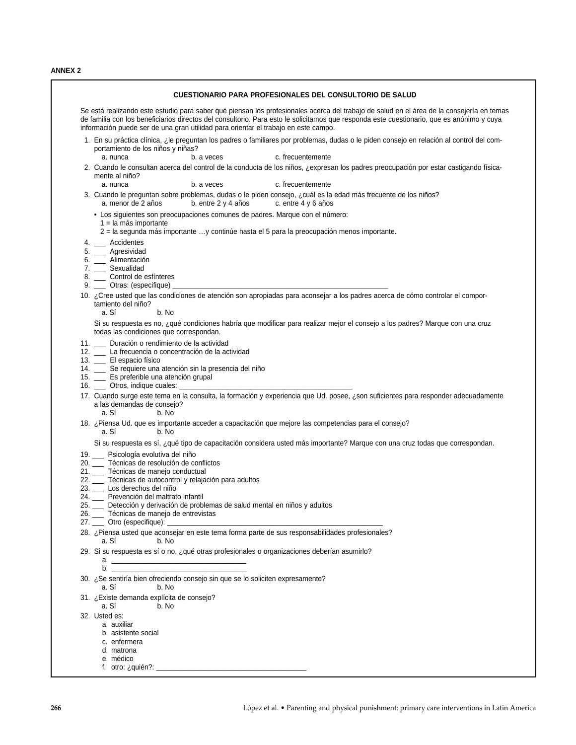**ANNEX 2**

| Se está realizando este estudio para saber qué piensan los profesionales acerca del trabajo de salud en el área de la consejería en temas<br>de familia con los beneficiarios directos del consultorio. Para esto le solicitamos que responda este cuestionario, que es anónimo y cuya<br>información puede ser de una gran utilidad para orientar el trabajo en este campo. |  |  |  |  |  |  |
|------------------------------------------------------------------------------------------------------------------------------------------------------------------------------------------------------------------------------------------------------------------------------------------------------------------------------------------------------------------------------|--|--|--|--|--|--|
| 1. En su práctica clínica, ¿le preguntan los padres o familiares por problemas, dudas o le piden consejo en relación al control del com-<br>portamiento de los niños y niñas?<br>a. nunca<br>c. frecuentemente<br>b. a veces                                                                                                                                                 |  |  |  |  |  |  |
| 2. Cuando le consultan acerca del control de la conducta de los niños, ¿expresan los padres preocupación por estar castigando física-<br>mente al niño?                                                                                                                                                                                                                      |  |  |  |  |  |  |
| b. a veces<br>c. frecuentemente<br>a. nunca                                                                                                                                                                                                                                                                                                                                  |  |  |  |  |  |  |
| 3. Cuando le preguntan sobre problemas, dudas o le piden consejo, ¿cuál es la edad más frecuente de los niños?<br>b. entre 2 y 4 años<br>c. entre 4 y 6 años<br>a. menor de 2 años                                                                                                                                                                                           |  |  |  |  |  |  |
| · Los siguientes son preocupaciones comunes de padres. Marque con el número:<br>1 = la más importante<br>2 = la segunda más importante y continúe hasta el 5 para la preocupación menos importante.                                                                                                                                                                          |  |  |  |  |  |  |
| 4. __ Accidentes                                                                                                                                                                                                                                                                                                                                                             |  |  |  |  |  |  |
| 5. __ Agresividad                                                                                                                                                                                                                                                                                                                                                            |  |  |  |  |  |  |
| 6. __ Alimentación<br>7. __ Sexualidad                                                                                                                                                                                                                                                                                                                                       |  |  |  |  |  |  |
| 8. __ Control de esfínteres                                                                                                                                                                                                                                                                                                                                                  |  |  |  |  |  |  |
|                                                                                                                                                                                                                                                                                                                                                                              |  |  |  |  |  |  |
| 10. ¿Cree usted que las condiciones de atención son apropiadas para aconsejar a los padres acerca de cómo controlar el compor-<br>tamiento del niño?<br>a. Sí<br>b. No                                                                                                                                                                                                       |  |  |  |  |  |  |
| Si su respuesta es no, ¿qué condiciones habría que modificar para realizar mejor el consejo a los padres? Marque con una cruz<br>todas las condiciones que correspondan.                                                                                                                                                                                                     |  |  |  |  |  |  |
| 11. _ Duración o rendimiento de la actividad                                                                                                                                                                                                                                                                                                                                 |  |  |  |  |  |  |
| 12. _ La frecuencia o concentración de la actividad                                                                                                                                                                                                                                                                                                                          |  |  |  |  |  |  |
| 13. __ El espacio físico<br>14. _ Se requiere una atención sin la presencia del niño                                                                                                                                                                                                                                                                                         |  |  |  |  |  |  |
| 15. __ Es preferible una atención grupal                                                                                                                                                                                                                                                                                                                                     |  |  |  |  |  |  |
| 16. ____ Otros, indique cuales: __________                                                                                                                                                                                                                                                                                                                                   |  |  |  |  |  |  |
| 17. Cuando surge este tema en la consulta, la formación y experiencia que Ud. posee, ¿son suficientes para responder adecuadamente                                                                                                                                                                                                                                           |  |  |  |  |  |  |
| a las demandas de consejo?                                                                                                                                                                                                                                                                                                                                                   |  |  |  |  |  |  |
| a. Sí<br>b. No                                                                                                                                                                                                                                                                                                                                                               |  |  |  |  |  |  |
| 18. ¿Piensa Ud. que es importante acceder a capacitación que mejore las competencias para el consejo?<br>a. Sí<br>b. No                                                                                                                                                                                                                                                      |  |  |  |  |  |  |
| Si su respuesta es sí, ¿qué tipo de capacitación considera usted más importante? Marque con una cruz todas que correspondan.                                                                                                                                                                                                                                                 |  |  |  |  |  |  |
| 19. _ Psicología evolutiva del niño                                                                                                                                                                                                                                                                                                                                          |  |  |  |  |  |  |
| 20. __ Técnicas de resolución de conflictos<br>21. __ Técnicas de manejo conductual                                                                                                                                                                                                                                                                                          |  |  |  |  |  |  |
| 22. __ Técnicas de autocontrol y relajación para adultos                                                                                                                                                                                                                                                                                                                     |  |  |  |  |  |  |
| 23. __ Los derechos del niño                                                                                                                                                                                                                                                                                                                                                 |  |  |  |  |  |  |
| 24. Prevención del maltrato infantil                                                                                                                                                                                                                                                                                                                                         |  |  |  |  |  |  |
| 25. __ Detección y derivación de problemas de salud mental en niños y adultos                                                                                                                                                                                                                                                                                                |  |  |  |  |  |  |
| 26. __ Técnicas de manejo de entrevistas<br>27. ____ Otro (especifique):                                                                                                                                                                                                                                                                                                     |  |  |  |  |  |  |
| 28. ¿Piensa usted que aconsejar en este tema forma parte de sus responsabilidades profesionales?<br>a. Sí<br>b. No                                                                                                                                                                                                                                                           |  |  |  |  |  |  |
| 29. Si su respuesta es sí o no, ¿qué otras profesionales o organizaciones deberían asumirlo?                                                                                                                                                                                                                                                                                 |  |  |  |  |  |  |
|                                                                                                                                                                                                                                                                                                                                                                              |  |  |  |  |  |  |
|                                                                                                                                                                                                                                                                                                                                                                              |  |  |  |  |  |  |
| 30. ¿Se sentiría bien ofreciendo consejo sin que se lo soliciten expresamente?<br>a. Sí<br>b. No                                                                                                                                                                                                                                                                             |  |  |  |  |  |  |
| 31. ¿Existe demanda explícita de consejo?<br>a. Sí<br>b. No                                                                                                                                                                                                                                                                                                                  |  |  |  |  |  |  |
| 32. Usted es:                                                                                                                                                                                                                                                                                                                                                                |  |  |  |  |  |  |
| a. auxiliar<br>b. asistente social                                                                                                                                                                                                                                                                                                                                           |  |  |  |  |  |  |
| c. enfermera                                                                                                                                                                                                                                                                                                                                                                 |  |  |  |  |  |  |
| d. matrona                                                                                                                                                                                                                                                                                                                                                                   |  |  |  |  |  |  |
| e. médico                                                                                                                                                                                                                                                                                                                                                                    |  |  |  |  |  |  |
|                                                                                                                                                                                                                                                                                                                                                                              |  |  |  |  |  |  |